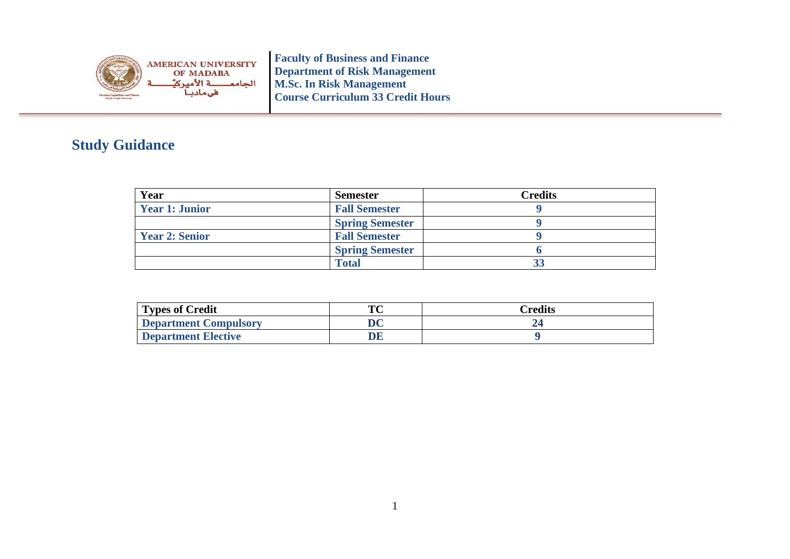

**Faculty of Business and Finance Department of Risk Management M.Sc. In Risk Management Course Curriculum 33 Credit Hours**

## **Study Guidance**

| Year                  | <b>Semester</b>        | <b>Credits</b> |
|-----------------------|------------------------|----------------|
| <b>Year 1: Junior</b> | <b>Fall Semester</b>   |                |
|                       | <b>Spring Semester</b> |                |
| <b>Year 2: Senior</b> | <b>Fall Semester</b>   |                |
|                       | <b>Spring Semester</b> |                |
|                       | <b>Total</b>           | 33             |

| <b>Types of Credit</b> | TО | Credits |
|------------------------|----|---------|
| Department Compulsory  | DC |         |
| Department Elective    |    |         |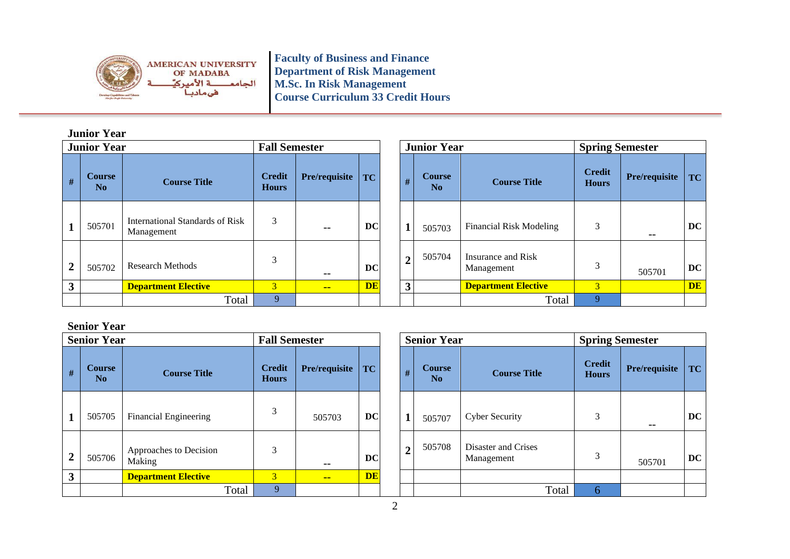

**Faculty of Business and Finance Department of Risk Management M.Sc. In Risk Management Course Curriculum 33 Credit Hours**

## **Junior Year**

|                | <b>Junior Year</b><br><b>Fall Semester</b> |                                               |                               |               |           | <b>Junior Year</b><br><b>Spring Semester</b> |                     |                                  |                               |               |           |
|----------------|--------------------------------------------|-----------------------------------------------|-------------------------------|---------------|-----------|----------------------------------------------|---------------------|----------------------------------|-------------------------------|---------------|-----------|
| $\#$           | Course<br>No                               | <b>Course Title</b>                           | <b>Credit</b><br><b>Hours</b> | Pre/requisite | <b>TC</b> | #                                            | <b>Course</b><br>No | <b>Course Title</b>              | <b>Credit</b><br><b>Hours</b> | Pre/requisite | TC        |
|                | 505701                                     | International Standards of Risk<br>Management | 3                             | $- -$         | <b>DC</b> |                                              | 505703              | <b>Financial Risk Modeling</b>   | 3                             | $- -$         | DC        |
| $\overline{2}$ | 505702                                     | <b>Research Methods</b>                       | 3                             | $- -$         | <b>DC</b> | $\overline{2}$                               | 505704              | Insurance and Risk<br>Management | 3                             | 505701        | DC        |
| 3              |                                            | <b>Department Elective</b>                    | $\overline{3}$                | $- -$         | <b>DE</b> | $\overline{\mathbf{3}}$                      |                     | <b>Department Elective</b>       | $\overline{3}$                |               | <b>DE</b> |
|                |                                            | Total                                         | 9                             |               |           |                                              |                     | Total                            | 9                             |               |           |

## **Senior Year**

|                  | <b>Senior Year</b>  |                                  | <b>Fall Semester</b>          |               |           | <b>Senior Year</b> |                                 |                                   | <b>Spring Semester</b>        |          |
|------------------|---------------------|----------------------------------|-------------------------------|---------------|-----------|--------------------|---------------------------------|-----------------------------------|-------------------------------|----------|
| $\#$             | <b>Course</b><br>No | <b>Course Title</b>              | <b>Credit</b><br><b>Hours</b> | Pre/requisite | TC        | #                  | <b>Course</b><br>N <sub>0</sub> | <b>Course Title</b>               | <b>Credit</b><br><b>Hours</b> | Pre/requ |
| 1                | 505705              | <b>Financial Engineering</b>     | 3                             | 505703        | DC        |                    | 505707                          | <b>Cyber Security</b>             | 3                             | $- -$    |
| $\boldsymbol{2}$ | 505706              | Approaches to Decision<br>Making | 3                             | --            | DC        | $\overline{2}$     | 505708                          | Disaster and Crises<br>Management | 3                             | 50570    |
| 3                |                     | <b>Department Elective</b>       | 3                             | $- -$         | <b>DE</b> |                    |                                 |                                   |                               |          |
|                  |                     | Total                            | 9                             |               |           |                    |                                 | Total                             | 6                             |          |

|       | <b>Fall Semester</b>          |               |           |                | <b>Senior Year</b>              |                                   | <b>Spring Semester</b>        |               |     |  |
|-------|-------------------------------|---------------|-----------|----------------|---------------------------------|-----------------------------------|-------------------------------|---------------|-----|--|
|       | <b>Credit</b><br><b>Hours</b> | Pre/requisite | TC        | #              | <b>Course</b><br>N <sub>0</sub> | <b>Course Title</b>               | <b>Credit</b><br><b>Hours</b> | Pre/requisite | TC  |  |
|       | 3                             | 505703        | <b>DC</b> | 1              | 505707                          | <b>Cyber Security</b>             | 3                             | --            | DC. |  |
|       | 3                             |               | <b>DC</b> | $\overline{2}$ | 505708                          | Disaster and Crises<br>Management | 3                             | 505701        | DC  |  |
|       | 3                             | $- -$         | <b>DE</b> |                |                                 |                                   |                               |               |     |  |
| Total | 9                             |               |           |                |                                 | Total                             | 6                             |               |     |  |